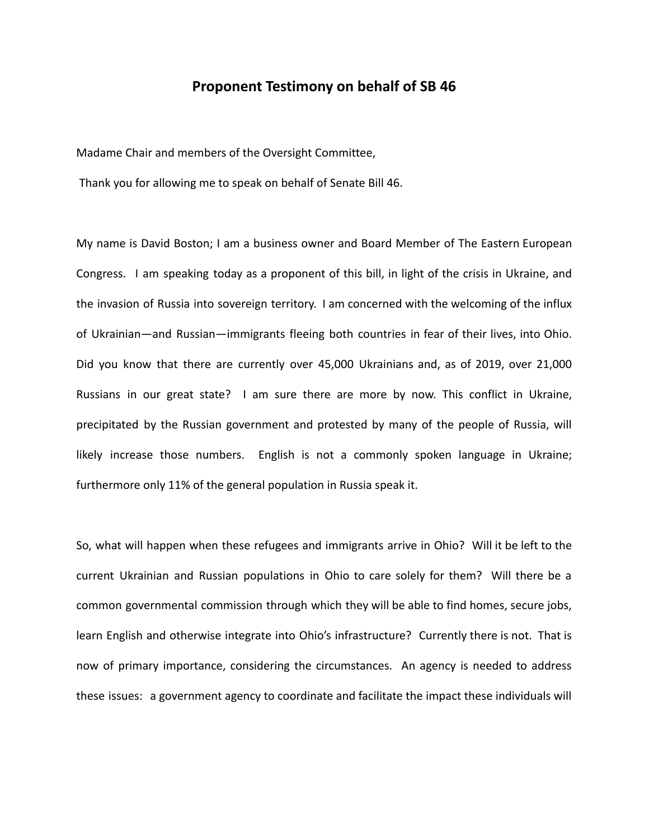## **Proponent Testimony on behalf of SB 46**

Madame Chair and members of the Oversight Committee,

Thank you for allowing me to speak on behalf of Senate Bill 46.

My name is David Boston; I am a business owner and Board Member of The Eastern European Congress. I am speaking today as a proponent of this bill, in light of the crisis in Ukraine, and the invasion of Russia into sovereign territory. I am concerned with the welcoming of the influx of Ukrainian—and Russian—immigrants fleeing both countries in fear of their lives, into Ohio. Did you know that there are currently over 45,000 Ukrainians and, as of 2019, over 21,000 Russians in our great state? I am sure there are more by now. This conflict in Ukraine, precipitated by the Russian government and protested by many of the people of Russia, will likely increase those numbers. English is not a commonly spoken language in Ukraine; furthermore only 11% of the general population in Russia speak it.

So, what will happen when these refugees and immigrants arrive in Ohio? Will it be left to the current Ukrainian and Russian populations in Ohio to care solely for them? Will there be a common governmental commission through which they will be able to find homes, secure jobs, learn English and otherwise integrate into Ohio's infrastructure? Currently there is not. That is now of primary importance, considering the circumstances. An agency is needed to address these issues: a government agency to coordinate and facilitate the impact these individuals will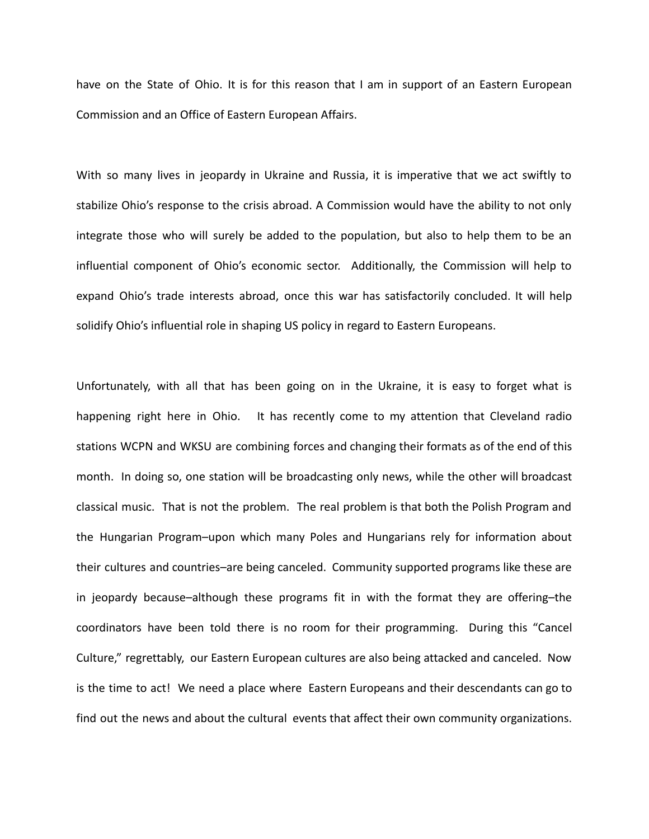have on the State of Ohio. It is for this reason that I am in support of an Eastern European Commission and an Office of Eastern European Affairs.

With so many lives in jeopardy in Ukraine and Russia, it is imperative that we act swiftly to stabilize Ohio's response to the crisis abroad. A Commission would have the ability to not only integrate those who will surely be added to the population, but also to help them to be an influential component of Ohio's economic sector. Additionally, the Commission will help to expand Ohio's trade interests abroad, once this war has satisfactorily concluded. It will help solidify Ohio's influential role in shaping US policy in regard to Eastern Europeans.

Unfortunately, with all that has been going on in the Ukraine, it is easy to forget what is happening right here in Ohio. It has recently come to my attention that Cleveland radio stations WCPN and WKSU are combining forces and changing their formats as of the end of this month. In doing so, one station will be broadcasting only news, while the other will broadcast classical music. That is not the problem. The real problem is that both the Polish Program and the Hungarian Program–upon which many Poles and Hungarians rely for information about their cultures and countries–are being canceled. Community supported programs like these are in jeopardy because–although these programs fit in with the format they are offering–the coordinators have been told there is no room for their programming. During this "Cancel Culture," regrettably, our Eastern European cultures are also being attacked and canceled. Now is the time to act! We need a place where Eastern Europeans and their descendants can go to find out the news and about the cultural events that affect their own community organizations.